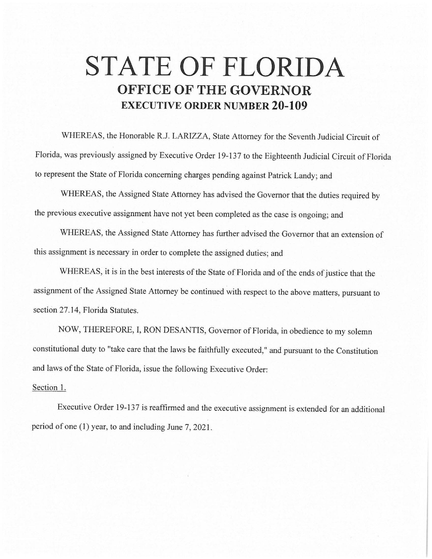## **STATE OF FLORIDA OFFICE OF THE GOVERNOR EXECUTIVE ORDER NUMBER 20-109**

WHEREAS, the Honorable R.J. LARIZZA, State Attorney for the Seventh Judicial Circuit of Florida, was previously assigned by Executive Order 19-137 to the Eighteenth Judicial Circuit of Florida to represent the State of Florida concerning charges pending against Patrick Landy; and

WHEREAS, the Assigned State Attorney has advised the Governor that the duties required by the previous executive assignment have not yet been completed as the case is ongoing; and

WHEREAS, the Assigned State Attorney has further advised the Governor that an extension of this assignment is necessary in order to complete the assigned duties; and

WHEREAS, it is in the best interests of the State of Florida and of the ends of justice that the assignment of the Assigned State Attorney be continued with respect to the above matters, pursuant to section 27.14, Florida Statutes.

NOW, THEREFORE, I, RON DESANTIS, Governor of Florida, in obedience to my solemn constitutional duty to "take care that the laws be faithfully executed," and pursuant to the Constitution and laws of the State of Florida, issue the following Executive Order:

## Section 1.

Executive Order 19-137 is reaffirmed and the executive assignment is extended for an additional period of one (1) year, to and including June 7, 2021.